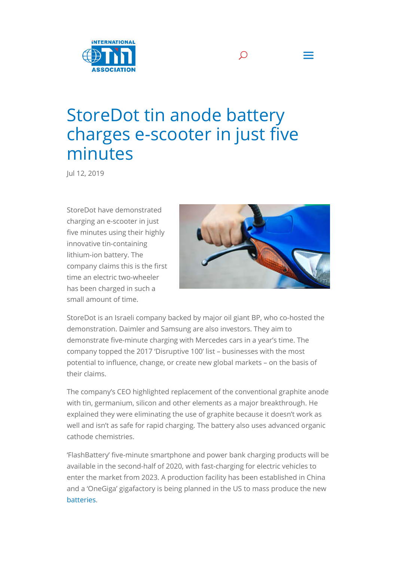

## StoreDot tin anode battery charges e-scooter in just five minutes

Jul 12, 2019

StoreDot have demonstrated charging an e-scooter in just five minutes using their highly innovative tin-containing lithium-ion battery. The company claims this is the first time an electric two-wheeler has been charged in such a small amount of time.



 $\Omega$  =

StoreDot is an Israeli company backed by major oil giant BP, who co-hosted the demonstration. Daimler and Samsung are also investors. They aim to demonstrate five-minute charging with Mercedes cars in a year's time. The company topped the 2017 'Disruptive 100' list – businesses with the most potential to influence, change, or create new global markets – on the basis of their claims.

The company's CEO highlighted replacement of the conventional graphite anode with tin, germanium, silicon and other elements as a major breakthrough. He explained they were eliminating the use of graphite because it doesn't work as well and isn't as safe for rapid charging. The battery also uses advanced organic cathode chemistries.

'FlashBattery' five-minute smartphone and power bank charging products will be available in the second-half of 2020, with fast-charging for electric vehicles to enter the market from 2023. A production facility has been established in China and a 'OneGiga' gigafactory is being planned in the US to mass produce the new batteries.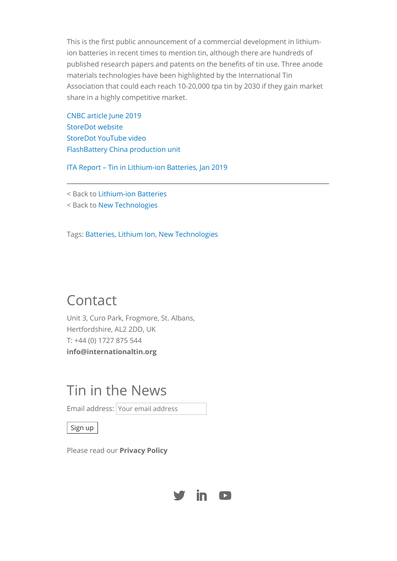This is the first public announcement of a commercial development in lithiumion batteries in recent times to mention tin, although there are hundreds of published research papers and patents on the benefits of tin use. Three anode materials technologies have been highlighted by the International Tin Association that could each reach 10-20,000 tpa tin by 2030 if they gain market share in a highly competitive market.

CNBC article June 2019 StoreDot website StoreDot YouTube video FlashBattery China production unit

ITA Report – Tin in Lithium-ion Batteries, Jan 2019

< Back to Lithium-ion Batteries

< Back to New Technologies

Tags: Batteries, Lithium Ion, New Technologies

## Contact

Unit 3, Curo Park, Frogmore, St. Albans, Hertfordshire, AL2 2DD, UK T: +44 (0) 1727 875 544 **info@internationaltin.org**

## Tin in the News

Email address: Your email address

Sign up

Please read our **Privacy Policy**